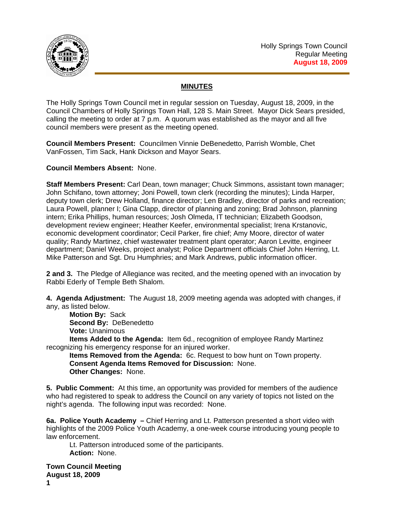

## **MINUTES**

The Holly Springs Town Council met in regular session on Tuesday, August 18, 2009, in the Council Chambers of Holly Springs Town Hall, 128 S. Main Street. Mayor Dick Sears presided, calling the meeting to order at 7 p.m. A quorum was established as the mayor and all five council members were present as the meeting opened.

**Council Members Present:** Councilmen Vinnie DeBenedetto, Parrish Womble, Chet VanFossen, Tim Sack, Hank Dickson and Mayor Sears.

**Council Members Absent:** None.

**Staff Members Present:** Carl Dean, town manager; Chuck Simmons, assistant town manager; John Schifano, town attorney; Joni Powell, town clerk (recording the minutes); Linda Harper, deputy town clerk; Drew Holland, finance director; Len Bradley, director of parks and recreation; Laura Powell, planner I; Gina Clapp, director of planning and zoning; Brad Johnson, planning intern; Erika Phillips, human resources; Josh Olmeda, IT technician; Elizabeth Goodson, development review engineer; Heather Keefer, environmental specialist; Irena Krstanovic, economic development coordinator; Cecil Parker, fire chief; Amy Moore, director of water quality; Randy Martinez, chief wastewater treatment plant operator; Aaron Levitte, engineer department; Daniel Weeks, project analyst; Police Department officials Chief John Herring, Lt. Mike Patterson and Sgt. Dru Humphries; and Mark Andrews, public information officer.

**2 and 3.** The Pledge of Allegiance was recited, and the meeting opened with an invocation by Rabbi Ederly of Temple Beth Shalom.

**4. Agenda Adjustment:** The August 18, 2009 meeting agenda was adopted with changes, if any, as listed below.

**Motion By:** Sack

**Second By:** DeBenedetto

**Vote:** Unanimous

**Items Added to the Agenda:** Item 6d., recognition of employee Randy Martinez recognizing his emergency response for an injured worker.

**Items Removed from the Agenda:** 6c. Request to bow hunt on Town property. **Consent Agenda Items Removed for Discussion:** None. **Other Changes:** None.

**5. Public Comment:** At this time, an opportunity was provided for members of the audience who had registered to speak to address the Council on any variety of topics not listed on the night's agenda. The following input was recorded: None.

**6a. Police Youth Academy –** Chief Herring and Lt. Patterson presented a short video with highlights of the 2009 Police Youth Academy, a one-week course introducing young people to law enforcement.

Lt. Patterson introduced some of the participants.  **Action:** None.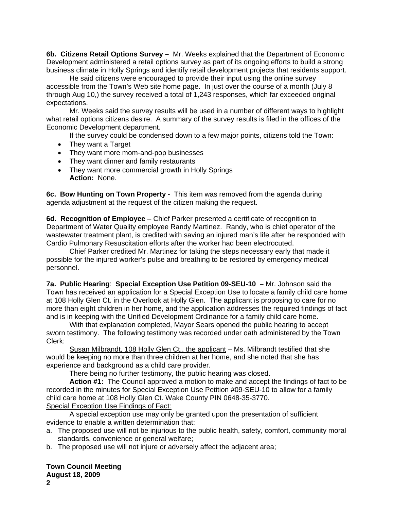**6b. Citizens Retail Options Survey –** Mr. Weeks explained that the Department of Economic Development administered a retail options survey as part of its ongoing efforts to build a strong business climate in Holly Springs and identify retail development projects that residents support.

 He said citizens were encouraged to provide their input using the online survey accessible from the Town's Web site home page. In just over the course of a month (July 8 through Aug 10,) the survey received a total of 1,243 responses, which far exceeded original expectations.

 Mr. Weeks said the survey results will be used in a number of different ways to highlight what retail options citizens desire. A summary of the survey results is filed in the offices of the Economic Development department.

If the survey could be condensed down to a few major points, citizens told the Town:

- They want a Target
- They want more mom-and-pop businesses
- They want dinner and family restaurants
- They want more commercial growth in Holly Springs **Action:** None.

**6c. Bow Hunting on Town Property -** This item was removed from the agenda during agenda adjustment at the request of the citizen making the request.

**6d. Recognition of Employee** – Chief Parker presented a certificate of recognition to Department of Water Quality employee Randy Martinez. Randy, who is chief operator of the wastewater treatment plant, is credited with saving an injured man's life after he responded with Cardio Pulmonary Resuscitation efforts after the worker had been electrocuted.

Chief Parker credited Mr. Martinez for taking the steps necessary early that made it possible for the injured worker's pulse and breathing to be restored by emergency medical personnel.

**7a. Public Hearing**: **Special Exception Use Petition 09-SEU-10 –** Mr. Johnson said the Town has received an application for a Special Exception Use to locate a family child care home at 108 Holly Glen Ct. in the Overlook at Holly Glen. The applicant is proposing to care for no more than eight children in her home, and the application addresses the required findings of fact and is in keeping with the Unified Development Ordinance for a family child care home.

With that explanation completed, Mayor Sears opened the public hearing to accept sworn testimony. The following testimony was recorded under oath administered by the Town Clerk:

Susan Milbrandt, 108 Holly Glen Ct., the applicant – Ms. Milbrandt testified that she would be keeping no more than three children at her home, and she noted that she has experience and background as a child care provider.

There being no further testimony, the public hearing was closed.

**Action #1:** The Council approved a motion to make and accept the findings of fact to be recorded in the minutes for Special Exception Use Petition #09-SEU-10 to allow for a family child care home at 108 Holly Glen Ct. Wake County PIN 0648-35-3770. Special Exception Use Findings of Fact:

 A special exception use may only be granted upon the presentation of sufficient evidence to enable a written determination that:

- a. The proposed use will not be injurious to the public health, safety, comfort, community moral standards, convenience or general welfare;
- b. The proposed use will not injure or adversely affect the adjacent area;

## **Town Council Meeting**

**August 18, 2009**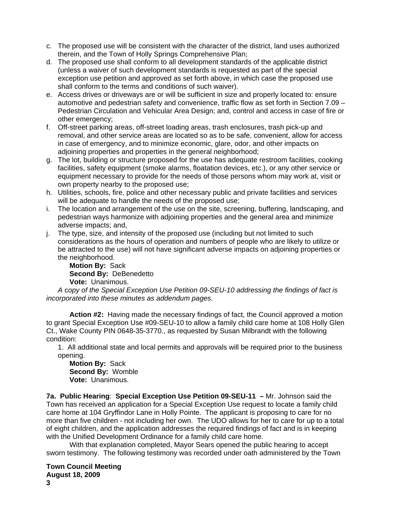- c. The proposed use will be consistent with the character of the district, land uses authorized therein, and the Town of Holly Springs Comprehensive Plan;
- d. The proposed use shall conform to all development standards of the applicable district (unless a waiver of such development standards is requested as part of the special exception use petition and approved as set forth above, in which case the proposed use shall conform to the terms and conditions of such waiver).
- e. Access drives or driveways are or will be sufficient in size and properly located to: ensure automotive and pedestrian safety and convenience, traffic flow as set forth in Section 7.09 – Pedestrian Circulation and Vehicular Area Design; and, control and access in case of fire or other emergency;
- f. Off-street parking areas, off-street loading areas, trash enclosures, trash pick-up and removal, and other service areas are located so as to be safe, convenient, allow for access in case of emergency, and to minimize economic, glare, odor, and other impacts on adjoining properties and properties in the general neighborhood;
- g. The lot, building or structure proposed for the use has adequate restroom facilities, cooking facilities, safety equipment (smoke alarms, floatation devices, etc.), or any other service or equipment necessary to provide for the needs of those persons whom may work at, visit or own property nearby to the proposed use;
- h. Utilities, schools, fire, police and other necessary public and private facilities and services will be adequate to handle the needs of the proposed use;
- i. The location and arrangement of the use on the site, screening, buffering, landscaping, and pedestrian ways harmonize with adjoining properties and the general area and minimize adverse impacts; and,
- j. The type, size, and intensity of the proposed use (including but not limited to such considerations as the hours of operation and numbers of people who are likely to utilize or be attracted to the use) will not have significant adverse impacts on adjoining properties or the neighborhood.

**Motion By:** Sack **Second By:** DeBenedetto **Vote:** Unanimous.

*A* c*opy of the Special Exception Use Petition 09-SEU-10 addressing the findings of fact is incorporated into these minutes as addendum pages.* 

**Action #2:** Having made the necessary findings of fact, the Council approved a motion to grant Special Exception Use #09-SEU-10 to allow a family child care home at 108 Holly Glen Ct., Wake County PIN 0648-35-3770., as requested by Susan Milbrandt with the following condition:

1. All additional state and local permits and approvals will be required prior to the business opening.

**Motion By:** Sack **Second By:** Womble **Vote:** Unanimous.

**7a. Public Hearing**: **Special Exception Use Petition 09-SEU-11 –** Mr. Johnson said the Town has received an application for a Special Exception Use request to locate a family child care home at 104 Gryffindor Lane in Holly Pointe. The applicant is proposing to care for no more than five children - not including her own. The UDO allows for her to care for up to a total of eight children, and the application addresses the required findings of fact and is in keeping with the Unified Development Ordinance for a family child care home.

With that explanation completed, Mayor Sears opened the public hearing to accept sworn testimony. The following testimony was recorded under oath administered by the Town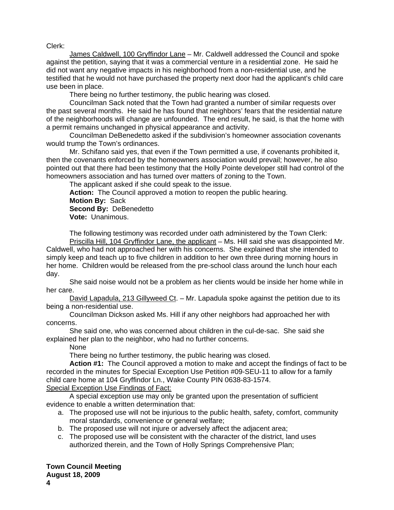Clerk:

James Caldwell, 100 Gryffindor Lane – Mr. Caldwell addressed the Council and spoke against the petition, saying that it was a commercial venture in a residential zone. He said he did not want any negative impacts in his neighborhood from a non-residential use, and he testified that he would not have purchased the property next door had the applicant's child care use been in place.

There being no further testimony, the public hearing was closed.

Councilman Sack noted that the Town had granted a number of similar requests over the past several months. He said he has found that neighbors' fears that the residential nature of the neighborhoods will change are unfounded. The end result, he said, is that the home with a permit remains unchanged in physical appearance and activity.

Councilman DeBenedetto asked if the subdivision's homeowner association covenants would trump the Town's ordinances.

Mr. Schifano said yes, that even if the Town permitted a use, if covenants prohibited it, then the covenants enforced by the homeowners association would prevail; however, he also pointed out that there had been testimony that the Holly Pointe developer still had control of the homeowners association and has turned over matters of zoning to the Town.

The applicant asked if she could speak to the issue.

**Action:** The Council approved a motion to reopen the public hearing. **Motion By:** Sack **Second By:** DeBenedetto **Vote:** Unanimous.

The following testimony was recorded under oath administered by the Town Clerk:

Priscilla Hill, 104 Gryffindor Lane, the applicant – Ms. Hill said she was disappointed Mr. Caldwell, who had not approached her with his concerns. She explained that she intended to simply keep and teach up to five children in addition to her own three during morning hours in her home. Children would be released from the pre-school class around the lunch hour each day.

She said noise would not be a problem as her clients would be inside her home while in her care.

David Lapadula, 213 Gillyweed Ct. – Mr. Lapadula spoke against the petition due to its being a non-residential use.

Councilman Dickson asked Ms. Hill if any other neighbors had approached her with concerns.

She said one, who was concerned about children in the cul-de-sac. She said she explained her plan to the neighbor, who had no further concerns.

None

There being no further testimony, the public hearing was closed.

**Action #1:** The Council approved a motion to make and accept the findings of fact to be recorded in the minutes for Special Exception Use Petition #09-SEU-11 to allow for a family child care home at 104 Gryffindor Ln., Wake County PIN 0638-83-1574.

Special Exception Use Findings of Fact:

 A special exception use may only be granted upon the presentation of sufficient evidence to enable a written determination that:

- a. The proposed use will not be injurious to the public health, safety, comfort, community moral standards, convenience or general welfare;
- b. The proposed use will not injure or adversely affect the adjacent area;
- c. The proposed use will be consistent with the character of the district, land uses authorized therein, and the Town of Holly Springs Comprehensive Plan;

**Town Council Meeting**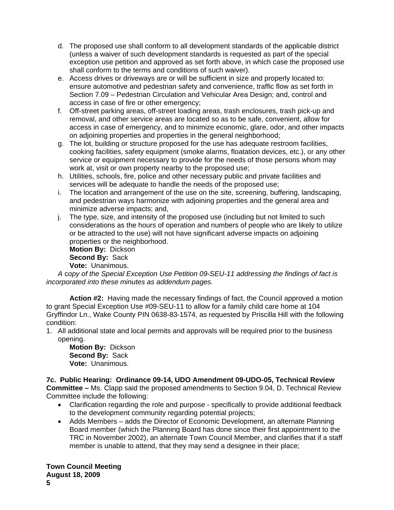- d. The proposed use shall conform to all development standards of the applicable district (unless a waiver of such development standards is requested as part of the special exception use petition and approved as set forth above, in which case the proposed use shall conform to the terms and conditions of such waiver).
- e. Access drives or driveways are or will be sufficient in size and properly located to: ensure automotive and pedestrian safety and convenience, traffic flow as set forth in Section 7.09 – Pedestrian Circulation and Vehicular Area Design; and, control and access in case of fire or other emergency;
- f. Off-street parking areas, off-street loading areas, trash enclosures, trash pick-up and removal, and other service areas are located so as to be safe, convenient, allow for access in case of emergency, and to minimize economic, glare, odor, and other impacts on adjoining properties and properties in the general neighborhood;
- g. The lot, building or structure proposed for the use has adequate restroom facilities, cooking facilities, safety equipment (smoke alarms, floatation devices, etc.), or any other service or equipment necessary to provide for the needs of those persons whom may work at, visit or own property nearby to the proposed use;
- h. Utilities, schools, fire, police and other necessary public and private facilities and services will be adequate to handle the needs of the proposed use;
- i. The location and arrangement of the use on the site, screening, buffering, landscaping, and pedestrian ways harmonize with adjoining properties and the general area and minimize adverse impacts; and,
- j. The type, size, and intensity of the proposed use (including but not limited to such considerations as the hours of operation and numbers of people who are likely to utilize or be attracted to the use) will not have significant adverse impacts on adjoining properties or the neighborhood.

**Motion By:** Dickson **Second By:** Sack **Vote:** Unanimous.

*A* c*opy of the Special Exception Use Petition 09-SEU-11 addressing the findings of fact is incorporated into these minutes as addendum pages.* 

**Action #2:** Having made the necessary findings of fact, the Council approved a motion to grant Special Exception Use #09-SEU-11 to allow for a family child care home at 104 Gryffindor Ln., Wake County PIN 0638-83-1574, as requested by Priscilla Hill with the following condition:

1. All additional state and local permits and approvals will be required prior to the business opening.

**Motion By:** Dickson **Second By:** Sack **Vote:** Unanimous.

**7c. Public Hearing: Ordinance 09-14, UDO Amendment 09-UDO-05, Technical Review Committee –** Ms. Clapp said the proposed amendments to Section 9.04, D. Technical Review Committee include the following:

- Clarification regarding the role and purpose specifically to provide additional feedback to the development community regarding potential projects;
- Adds Members adds the Director of Economic Development, an alternate Planning Board member (which the Planning Board has done since their first appointment to the TRC in November 2002), an alternate Town Council Member, and clarifies that if a staff member is unable to attend, that they may send a designee in their place;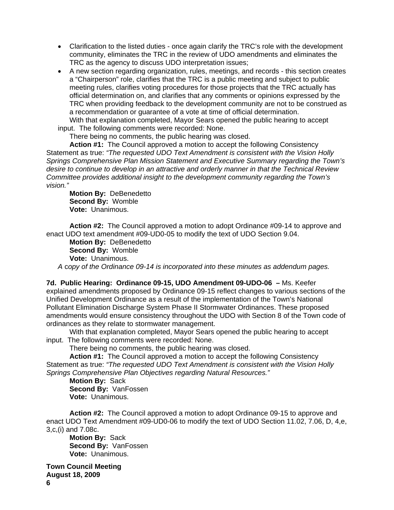- Clarification to the listed duties once again clarify the TRC's role with the development community, eliminates the TRC in the review of UDO amendments and eliminates the TRC as the agency to discuss UDO interpretation issues;
- A new section regarding organization, rules, meetings, and records this section creates a "Chairperson" role, clarifies that the TRC is a public meeting and subject to public meeting rules, clarifies voting procedures for those projects that the TRC actually has official determination on, and clarifies that any comments or opinions expressed by the TRC when providing feedback to the development community are not to be construed as a recommendation or guarantee of a vote at time of official determination.

With that explanation completed, Mayor Sears opened the public hearing to accept input. The following comments were recorded: None.

There being no comments, the public hearing was closed.

**Action #1:** The Council approved a motion to accept the following Consistency Statement as true: *"The requested UDO Text Amendment is consistent with the Vision Holly Springs Comprehensive Plan Mission Statement and Executive Summary regarding the Town's desire to continue to develop in an attractive and orderly manner in that the Technical Review Committee provides additional insight to the development community regarding the Town's vision."* 

**Motion By:** DeBenedetto **Second By:** Womble **Vote:** Unanimous.

**Action #2:** The Council approved a motion to adopt Ordinance #09-14 to approve and enact UDO text amendment #09-UD0-05 to modify the text of UDO Section 9.04.

**Motion By:** DeBenedetto **Second By:** Womble **Vote:** Unanimous.

*A* c*opy of the Ordinance 09-14 is incorporated into these minutes as addendum pages.* 

**7d. Public Hearing: Ordinance 09-15, UDO Amendment 09-UDO-06 –** Ms. Keefer explained amendments proposed by Ordinance 09-15 reflect changes to various sections of the Unified Development Ordinance as a result of the implementation of the Town's National Pollutant Elimination Discharge System Phase II Stormwater Ordinances. These proposed amendments would ensure consistency throughout the UDO with Section 8 of the Town code of ordinances as they relate to stormwater management.

With that explanation completed, Mayor Sears opened the public hearing to accept input. The following comments were recorded: None.

There being no comments, the public hearing was closed.

**Action #1:** The Council approved a motion to accept the following Consistency Statement as true: *"The requested UDO Text Amendment is consistent with the Vision Holly Springs Comprehensive Plan Objectives regarding Natural Resources."* 

**Motion By:** Sack **Second By:** VanFossen **Vote:** Unanimous.

**Action #2:** The Council approved a motion to adopt Ordinance 09-15 to approve and enact UDO Text Amendment #09-UD0-06 to modify the text of UDO Section 11.02, 7.06, D, 4,e, 3,c,(i) and 7.08c.

**Motion By:** Sack **Second By:** VanFossen **Vote:** Unanimous.

**Town Council Meeting August 18, 2009 6**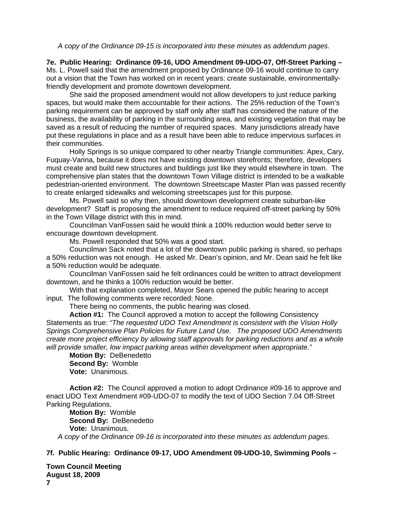*A* c*opy of the Ordinance 09-15 is incorporated into these minutes as addendum pages.* 

**7e. Public Hearing: Ordinance 09-16, UDO Amendment 09-UDO-07, Off-Street Parking –**  Ms. L. Powell said that the amendment proposed by Ordinance 09-16 would continue to carry out a vision that the Town has worked on in recent years: create sustainable, environmentallyfriendly development and promote downtown development.

 She said the proposed amendment would not allow developers to just reduce parking spaces, but would make them accountable for their actions. The 25% reduction of the Town's parking requirement can be approved by staff only after staff has considered the nature of the business, the availability of parking in the surrounding area, and existing vegetation that may be saved as a result of reducing the number of required spaces. Many jurisdictions already have put these regulations in place and as a result have been able to reduce impervious surfaces in their communities.

 Holly Springs is so unique compared to other nearby Triangle communities: Apex, Cary, Fuquay-Varina, because it does not have existing downtown storefronts; therefore, developers must create and build new structures and buildings just like they would elsewhere in town. The comprehensive plan states that the downtown Town Village district is intended to be a walkable pedestrian-oriented environment. The downtown Streetscape Master Plan was passed recently to create enlarged sidewalks and welcoming streetscapes just for this purpose.

 Ms. Powell said so why then, should downtown development create suburban-like development? Staff is proposing the amendment to reduce required off-street parking by 50% in the Town Village district with this in mind.

 Councilman VanFossen said he would think a 100% reduction would better serve to encourage downtown development.

Ms. Powell responded that 50% was a good start.

 Councilman Sack noted that a lot of the downtown public parking is shared, so perhaps a 50% reduction was not enough. He asked Mr. Dean's opinion, and Mr. Dean said he felt like a 50% reduction would be adequate.

Councilman VanFossen said he felt ordinances could be written to attract development downtown, and he thinks a 100% reduction would be better.

With that explanation completed, Mayor Sears opened the public hearing to accept input. The following comments were recorded: None.

There being no comments, the public hearing was closed.

**Action #1:** The Council approved a motion to accept the following Consistency Statements as true: *"The requested UDO Text Amendment is consistent with the Vision Holly Springs Comprehensive Plan Policies for Future Land Use. The proposed UDO Amendments create more project efficiency by allowing staff approvals for parking reductions and as a whole will provide smaller, low impact parking areas within development when appropriate."* 

**Motion By:** DeBenedetto **Second By:** Womble **Vote:** Unanimous.

**Action #2:** The Council approved a motion to adopt Ordinance #09-16 to approve and enact UDO Text Amendment #09-UDO-07 to modify the text of UDO Section 7.04 Off-Street Parking Regulations.

**Motion By:** Womble **Second By:** DeBenedetto **Vote:** Unanimous.

*A* c*opy of the Ordinance 09-16 is incorporated into these minutes as addendum pages.* 

## **7f. Public Hearing: Ordinance 09-17, UDO Amendment 09-UDO-10, Swimming Pools –**

**Town Council Meeting August 18, 2009**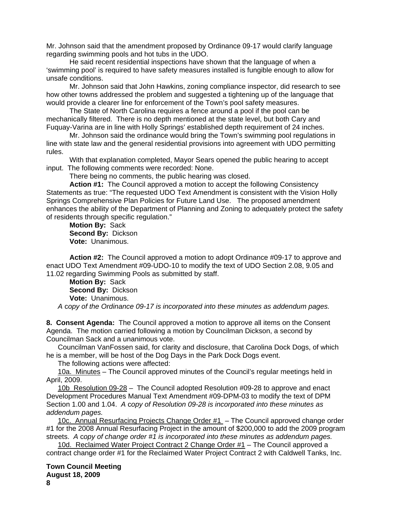Mr. Johnson said that the amendment proposed by Ordinance 09-17 would clarify language regarding swimming pools and hot tubs in the UDO.

 He said recent residential inspections have shown that the language of when a 'swimming pool' is required to have safety measures installed is fungible enough to allow for unsafe conditions.

 Mr. Johnson said that John Hawkins, zoning compliance inspector, did research to see how other towns addressed the problem and suggested a tightening up of the language that would provide a clearer line for enforcement of the Town's pool safety measures.

 The State of North Carolina requires a fence around a pool if the pool can be mechanically filtered. There is no depth mentioned at the state level, but both Cary and Fuquay-Varina are in line with Holly Springs' established depth requirement of 24 inches.

 Mr. Johnson said the ordinance would bring the Town's swimming pool regulations in line with state law and the general residential provisions into agreement with UDO permitting rules.

With that explanation completed, Mayor Sears opened the public hearing to accept input. The following comments were recorded: None.

There being no comments, the public hearing was closed.

**Action #1:** The Council approved a motion to accept the following Consistency Statements as true: "The requested UDO Text Amendment is consistent with the Vision Holly Springs Comprehensive Plan Policies for Future Land Use. The proposed amendment enhances the ability of the Department of Planning and Zoning to adequately protect the safety of residents through specific regulation."

**Motion By:** Sack **Second By:** Dickson **Vote:** Unanimous.

**Action #2:** The Council approved a motion to adopt Ordinance #09-17 to approve and enact UDO Text Amendment #09-UDO-10 to modify the text of UDO Section 2.08, 9.05 and 11.02 regarding Swimming Pools as submitted by staff.

**Motion By:** Sack **Second By:** Dickson **Vote:** Unanimous.

*A* c*opy of the Ordinance 09-17 is incorporated into these minutes as addendum pages.* 

**8. Consent Agenda:** The Council approved a motion to approve all items on the Consent Agenda. The motion carried following a motion by Councilman Dickson, a second by Councilman Sack and a unanimous vote.

Councilman VanFossen said, for clarity and disclosure, that Carolina Dock Dogs, of which he is a member, will be host of the Dog Days in the Park Dock Dogs event.

The following actions were affected:

10a. Minutes – The Council approved minutes of the Council's regular meetings held in April, 2009.

10b Resolution 09-28 – The Council adopted Resolution #09-28 to approve and enact Development Procedures Manual Text Amendment #09-DPM-03 to modify the text of DPM Section 1.00 and 1.04. *A* c*opy of Resolution 09-28 is incorporated into these minutes as addendum pages.*

10c. Annual Resurfacing Projects Change Order #1 - The Council approved change order #1 for the 2008 Annual Resurfacing Project in the amount of \$200,000 to add the 2009 program streets. *A* c*opy of change order #1 is incorporated into these minutes as addendum pages.*

10d. Reclaimed Water Project Contract 2 Change Order #1 – The Council approved a contract change order #1 for the Reclaimed Water Project Contract 2 with Caldwell Tanks, Inc.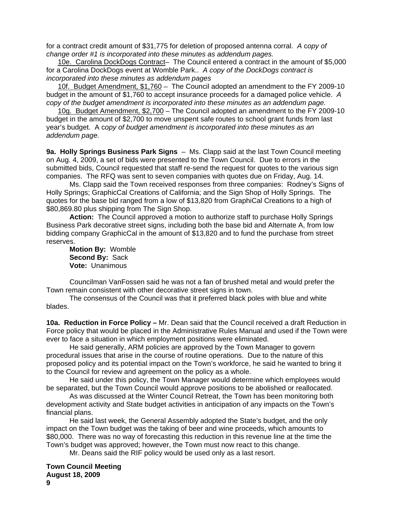for a contract credit amount of \$31,775 for deletion of proposed antenna corral. *A* c*opy of change order #1 is incorporated into these minutes as addendum pages.*

10e. Carolina DockDogs Contract– The Council entered a contract in the amount of \$5,000 for a Carolina DockDogs event at Womble Park.. *A copy of the DockDogs contract is incorporated into these minutes as addendum pages*

10f. Budget Amendment, \$1,760 – The Council adopted an amendment to the FY 2009-10 budget in the amount of \$1,760 to accept insurance proceeds for a damaged police vehicle. *A copy of the budget amendment is incorporated into these minutes as an addendum page.* 

10g. Budget Amendment, \$2,700 – The Council adopted an amendment to the FY 2009-10 budget in the amount of \$2,700 to move unspent safe routes to school grant funds from last year's budget. A c*opy of budget amendment is incorporated into these minutes as an addendum page.* 

**9a. Holly Springs Business Park Signs** – Ms. Clapp said at the last Town Council meeting on Aug. 4, 2009, a set of bids were presented to the Town Council. Due to errors in the submitted bids, Council requested that staff re-send the request for quotes to the various sign companies. The RFQ was sent to seven companies with quotes due on Friday, Aug. 14.

Ms. Clapp said the Town received responses from three companies: Rodney's Signs of Holly Springs; GraphicCal Creations of California; and the Sign Shop of Holly Springs. The quotes for the base bid ranged from a low of \$13,820 from GraphiCal Creations to a high of \$80,869.80 plus shipping from The Sign Shop.

**Action:** The Council approved a motion to authorize staff to purchase Holly Springs Business Park decorative street signs, including both the base bid and Alternate A, from low bidding company GraphicCal in the amount of \$13,820 and to fund the purchase from street reserves.

**Motion By:** Womble **Second By:** Sack **Vote:** Unanimous

Councilman VanFossen said he was not a fan of brushed metal and would prefer the Town remain consistent with other decorative street signs in town.

The consensus of the Council was that it preferred black poles with blue and white blades.

**10a. Reduction in Force Policy –** Mr. Dean said that the Council received a draft Reduction in Force policy that would be placed in the Administrative Rules Manual and used if the Town were ever to face a situation in which employment positions were eliminated.

 He said generally, ARM policies are approved by the Town Manager to govern procedural issues that arise in the course of routine operations. Due to the nature of this proposed policy and its potential impact on the Town's workforce, he said he wanted to bring it to the Council for review and agreement on the policy as a whole.

 He said under this policy, the Town Manager would determine which employees would be separated, but the Town Council would approve positions to be abolished or reallocated.

 As was discussed at the Winter Council Retreat, the Town has been monitoring both development activity and State budget activities in anticipation of any impacts on the Town's financial plans.

 He said last week, the General Assembly adopted the State's budget, and the only impact on the Town budget was the taking of beer and wine proceeds, which amounts to \$80,000. There was no way of forecasting this reduction in this revenue line at the time the Town's budget was approved; however, the Town must now react to this change.

Mr. Deans said the RIF policy would be used only as a last resort.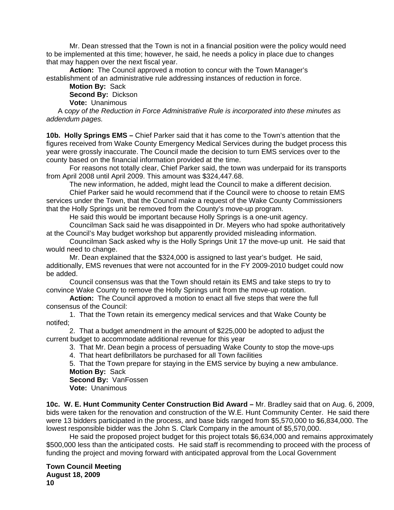Mr. Dean stressed that the Town is not in a financial position were the policy would need to be implemented at this time; however, he said, he needs a policy in place due to changes that may happen over the next fiscal year.

**Action:** The Council approved a motion to concur with the Town Manager's establishment of an administrative rule addressing instances of reduction in force.

**Motion By:** Sack **Second By:** Dickson

**Vote:** Unanimous

A c*opy of the Reduction in Force Administrative Rule is incorporated into these minutes as addendum pages.* 

**10b. Holly Springs EMS –** Chief Parker said that it has come to the Town's attention that the figures received from Wake County Emergency Medical Services during the budget process this year were grossly inaccurate. The Council made the decision to turn EMS services over to the county based on the financial information provided at the time.

 For reasons not totally clear, Chief Parker said, the town was underpaid for its transports from April 2008 until April 2009. This amount was \$324,447.68.

The new information, he added, might lead the Council to make a different decision.

 Chief Parker said he would recommend that if the Council were to choose to retain EMS services under the Town, that the Council make a request of the Wake County Commissioners that the Holly Springs unit be removed from the County's move-up program.

He said this would be important because Holly Springs is a one-unit agency.

Councilman Sack said he was disappointed in Dr. Meyers who had spoke authoritatively at the Council's May budget workshop but apparently provided misleading information.

Councilman Sack asked why is the Holly Springs Unit 17 the move-up unit. He said that would need to change.

Mr. Dean explained that the \$324,000 is assigned to last year's budget. He said, additionally, EMS revenues that were not accounted for in the FY 2009-2010 budget could now be added.

Council consensus was that the Town should retain its EMS and take steps to try to convince Wake County to remove the Holly Springs unit from the move-up rotation.

**Action:** The Council approved a motion to enact all five steps that were the full consensus of the Council:

1. That the Town retain its emergency medical services and that Wake County be notifed;

2. That a budget amendment in the amount of \$225,000 be adopted to adjust the current budget to accommodate additional revenue for this year

3. That Mr. Dean begin a process of persuading Wake County to stop the move-ups

4. That heart defibrillators be purchased for all Town facilities

5. That the Town prepare for staying in the EMS service by buying a new ambulance.

**Motion By:** Sack **Second By:** VanFossen

**Vote:** Unanimous

**10c. W. E. Hunt Community Center Construction Bid Award –** Mr. Bradley said that on Aug. 6, 2009, bids were taken for the renovation and construction of the W.E. Hunt Community Center. He said there were 13 bidders participated in the process, and base bids ranged from \$5,570,000 to \$6,834,000. The lowest responsible bidder was the John S. Clark Company in the amount of \$5,570,000.

 He said the proposed project budget for this project totals \$6,634,000 and remains approximately \$500,000 less than the anticipated costs. He said staff is recommending to proceed with the process of funding the project and moving forward with anticipated approval from the Local Government

**Town Council Meeting August 18, 2009 10**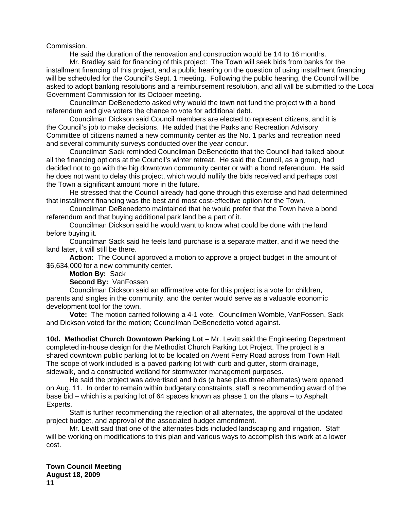Commission.

He said the duration of the renovation and construction would be 14 to 16 months.

 Mr. Bradley said for financing of this project: The Town will seek bids from banks for the installment financing of this project, and a public hearing on the question of using installment financing will be scheduled for the Council's Sept. 1 meeting. Following the public hearing, the Council will be asked to adopt banking resolutions and a reimbursement resolution, and all will be submitted to the Local Government Commission for its October meeting.

 Councilman DeBenedetto asked why would the town not fund the project with a bond referendum and give voters the chance to vote for additional debt.

 Councilman Dickson said Council members are elected to represent citizens, and it is the Council's job to make decisions. He added that the Parks and Recreation Advisory Committee of citizens named a new community center as the No. 1 parks and recreation need and several community surveys conducted over the year concur.

 Councilman Sack reminded Councilman DeBenedetto that the Council had talked about all the financing options at the Council's winter retreat. He said the Council, as a group, had decided not to go with the big downtown community center or with a bond referendum. He said he does not want to delay this project, which would nullify the bids received and perhaps cost the Town a significant amount more in the future.

 He stressed that the Council already had gone through this exercise and had determined that installment financing was the best and most cost-effective option for the Town.

 Councilman DeBenedetto maintained that he would prefer that the Town have a bond referendum and that buying additional park land be a part of it.

 Councilman Dickson said he would want to know what could be done with the land before buying it.

 Councilman Sack said he feels land purchase is a separate matter, and if we need the land later, it will still be there.

 **Action:** The Council approved a motion to approve a project budget in the amount of \$6,634,000 for a new community center.

## **Motion By:** Sack

**Second By:** VanFossen

Councilman Dickson said an affirmative vote for this project is a vote for children, parents and singles in the community, and the center would serve as a valuable economic development tool for the town.

**Vote:** The motion carried following a 4-1 vote. Councilmen Womble, VanFossen, Sack and Dickson voted for the motion; Councilman DeBenedetto voted against.

**10d. Methodist Church Downtown Parking Lot –** Mr. Levitt said the Engineering Department completed in-house design for the Methodist Church Parking Lot Project. The project is a shared downtown public parking lot to be located on Avent Ferry Road across from Town Hall. The scope of work included is a paved parking lot with curb and gutter, storm drainage, sidewalk, and a constructed wetland for stormwater management purposes.

 He said the project was advertised and bids (a base plus three alternates) were opened on Aug. 11. In order to remain within budgetary constraints, staff is recommending award of the base bid – which is a parking lot of 64 spaces known as phase 1 on the plans – to Asphalt Experts.

 Staff is further recommending the rejection of all alternates, the approval of the updated project budget, and approval of the associated budget amendment.

 Mr. Levitt said that one of the alternates bids included landscaping and irrigation. Staff will be working on modifications to this plan and various ways to accomplish this work at a lower cost.